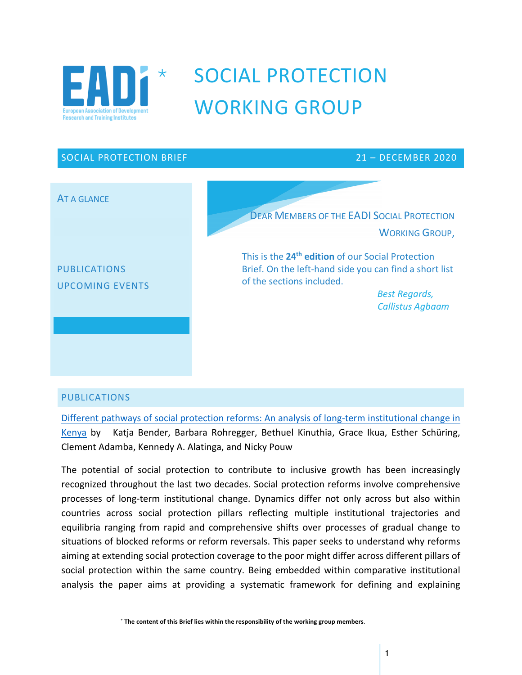

# SOCIAL PROTECTION WORKING GROUP

#### SOCIAL PROTECTION BRIEF **21 – DECEMBER 2020**



PUBLICATIONS UPCOMING EVENTS DEAR MEMBERS OF THE EADI SOCIAL PROTECTION WORKING GROUP,

This is the **24th edition** of our Social Protection Brief. On the left-hand side you can find a short list of the sections included.

> *Best Regards, Callistus Agbaam*

## PUBLICATIONS

Different pathways of social protection reforms: An analysis of long-term institutional change in Kenya by Katja Bender, Barbara Rohregger, Bethuel Kinuthia, Grace Ikua, Esther Schüring, Clement Adamba, Kennedy A. Alatinga, and Nicky Pouw

The potential of social protection to contribute to inclusive growth has been increasingly recognized throughout the last two decades. Social protection reforms involve comprehensive processes of long-term institutional change. Dynamics differ not only across but also within countries across social protection pillars reflecting multiple institutional trajectories and equilibria ranging from rapid and comprehensive shifts over processes of gradual change to situations of blocked reforms or reform reversals. This paper seeks to understand why reforms aiming at extending social protection coverage to the poor might differ across different pillars of social protection within the same country. Being embedded within comparative institutional analysis the paper aims at providing a systematic framework for defining and explaining

\* **The content of this Brief lies within the responsibility of the working group members**.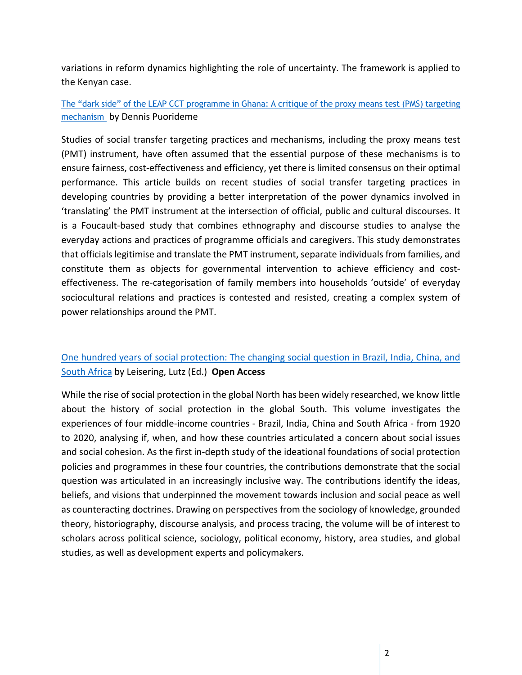variations in reform dynamics highlighting the role of uncertainty. The framework is applied to the Kenyan case.

The "dark side" of the LEAP CCT programme in Ghana: A critique of the proxy means test (PMS) targeting mechanism by Dennis Puorideme

Studies of social transfer targeting practices and mechanisms, including the proxy means test (PMT) instrument, have often assumed that the essential purpose of these mechanisms is to ensure fairness, cost-effectiveness and efficiency, yet there is limited consensus on their optimal performance. This article builds on recent studies of social transfer targeting practices in developing countries by providing a better interpretation of the power dynamics involved in 'translating' the PMT instrument at the intersection of official, public and cultural discourses. It is a Foucault-based study that combines ethnography and discourse studies to analyse the everyday actions and practices of programme officials and caregivers. This study demonstrates that officials legitimise and translate the PMT instrument, separate individuals from families, and constitute them as objects for governmental intervention to achieve efficiency and costeffectiveness. The re-categorisation of family members into households 'outside' of everyday sociocultural relations and practices is contested and resisted, creating a complex system of power relationships around the PMT.

# One hundred years of social protection: The changing social question in Brazil, India, China, and South Africa by Leisering, Lutz (Ed.) **Open Access**

While the rise of social protection in the global North has been widely researched, we know little about the history of social protection in the global South. This volume investigates the experiences of four middle-income countries - Brazil, India, China and South Africa - from 1920 to 2020, analysing if, when, and how these countries articulated a concern about social issues and social cohesion. As the first in-depth study of the ideational foundations of social protection policies and programmes in these four countries, the contributions demonstrate that the social question was articulated in an increasingly inclusive way. The contributions identify the ideas, beliefs, and visions that underpinned the movement towards inclusion and social peace as well as counteracting doctrines. Drawing on perspectives from the sociology of knowledge, grounded theory, historiography, discourse analysis, and process tracing, the volume will be of interest to scholars across political science, sociology, political economy, history, area studies, and global studies, as well as development experts and policymakers.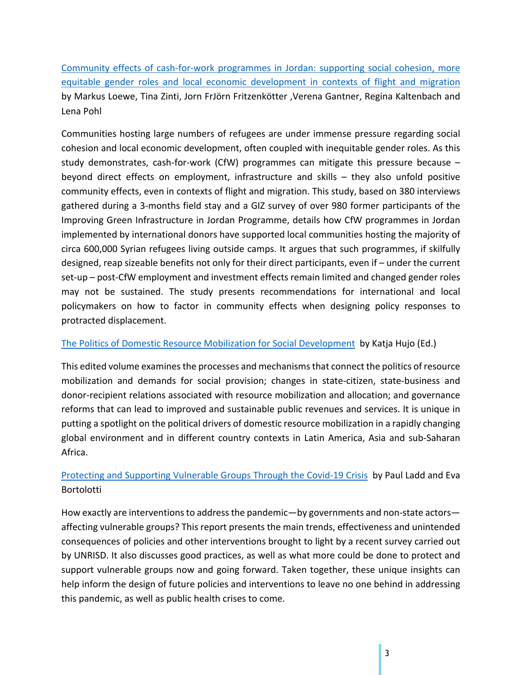Community effects of cash-for-work programmes in Jordan: supporting social cohesion, more equitable gender roles and local economic development in contexts of flight and migration by Markus Loewe, Tina Zinti, Jorn FrJörn Fritzenkötter ,Verena Gantner, Regina Kaltenbach and Lena Pohl

Communities hosting large numbers of refugees are under immense pressure regarding social cohesion and local economic development, often coupled with inequitable gender roles. As this study demonstrates, cash-for-work (CfW) programmes can mitigate this pressure because – beyond direct effects on employment, infrastructure and skills – they also unfold positive community effects, even in contexts of flight and migration. This study, based on 380 interviews gathered during a 3-months field stay and a GIZ survey of over 980 former participants of the Improving Green Infrastructure in Jordan Programme, details how CfW programmes in Jordan implemented by international donors have supported local communities hosting the majority of circa 600,000 Syrian refugees living outside camps. It argues that such programmes, if skilfully designed, reap sizeable benefits not only for their direct participants, even if – under the current set-up – post-CfW employment and investment effects remain limited and changed gender roles may not be sustained. The study presents recommendations for international and local policymakers on how to factor in community effects when designing policy responses to protracted displacement.

#### The Politics of Domestic Resource Mobilization for Social Development by Katja Hujo (Ed.)

This edited volume examines the processes and mechanisms that connect the politics of resource mobilization and demands for social provision; changes in state-citizen, state-business and donor-recipient relations associated with resource mobilization and allocation; and governance reforms that can lead to improved and sustainable public revenues and services. It is unique in putting a spotlight on the political drivers of domestic resource mobilization in a rapidly changing global environment and in different country contexts in Latin America, Asia and sub-Saharan Africa.

# Protecting and Supporting Vulnerable Groups Through the Covid-19 Crisis by Paul Ladd and Eva Bortolotti

How exactly are interventions to address the pandemic—by governments and non-state actors affecting vulnerable groups? This report presents the main trends, effectiveness and unintended consequences of policies and other interventions brought to light by a recent survey carried out by UNRISD. It also discusses good practices, as well as what more could be done to protect and support vulnerable groups now and going forward. Taken together, these unique insights can help inform the design of future policies and interventions to leave no one behind in addressing this pandemic, as well as public health crises to come.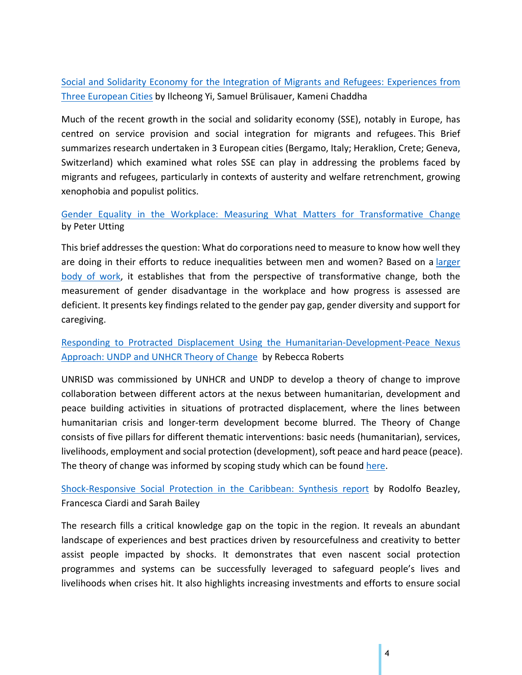# Social and Solidarity Economy for the Integration of Migrants and Refugees: Experiences from Three European Cities by Ilcheong Yi, Samuel Brülisauer, Kameni Chaddha

Much of the recent growth in the social and solidarity economy (SSE), notably in Europe, has centred on service provision and social integration for migrants and refugees. This Brief summarizes research undertaken in 3 European cities (Bergamo, Italy; Heraklion, Crete; Geneva, Switzerland) which examined what roles SSE can play in addressing the problems faced by migrants and refugees, particularly in contexts of austerity and welfare retrenchment, growing xenophobia and populist politics.

# Gender Equality in the Workplace: Measuring What Matters for Transformative Change by Peter Utting

This brief addresses the question: What do corporations need to measure to know how well they are doing in their efforts to reduce inequalities between men and women? Based on a larger body of work, it establishes that from the perspective of transformative change, both the measurement of gender disadvantage in the workplace and how progress is assessed are deficient. It presents key findings related to the gender pay gap, gender diversity and support for caregiving.

# Responding to Protracted Displacement Using the Humanitarian-Development-Peace Nexus Approach: UNDP and UNHCR Theory of Change by Rebecca Roberts

UNRISD was commissioned by UNHCR and UNDP to develop a theory of change to improve collaboration between different actors at the nexus between humanitarian, development and peace building activities in situations of protracted displacement, where the lines between humanitarian crisis and longer-term development become blurred. The Theory of Change consists of five pillars for different thematic interventions: basic needs (humanitarian), services, livelihoods, employment and social protection (development), soft peace and hard peace (peace). The theory of change was informed by scoping study which can be found here.

Shock-Responsive Social Protection in the Caribbean: Synthesis report by Rodolfo Beazley, Francesca Ciardi and Sarah Bailey

The research fills a critical knowledge gap on the topic in the region. It reveals an abundant landscape of experiences and best practices driven by resourcefulness and creativity to better assist people impacted by shocks. It demonstrates that even nascent social protection programmes and systems can be successfully leveraged to safeguard people's lives and livelihoods when crises hit. It also highlights increasing investments and efforts to ensure social